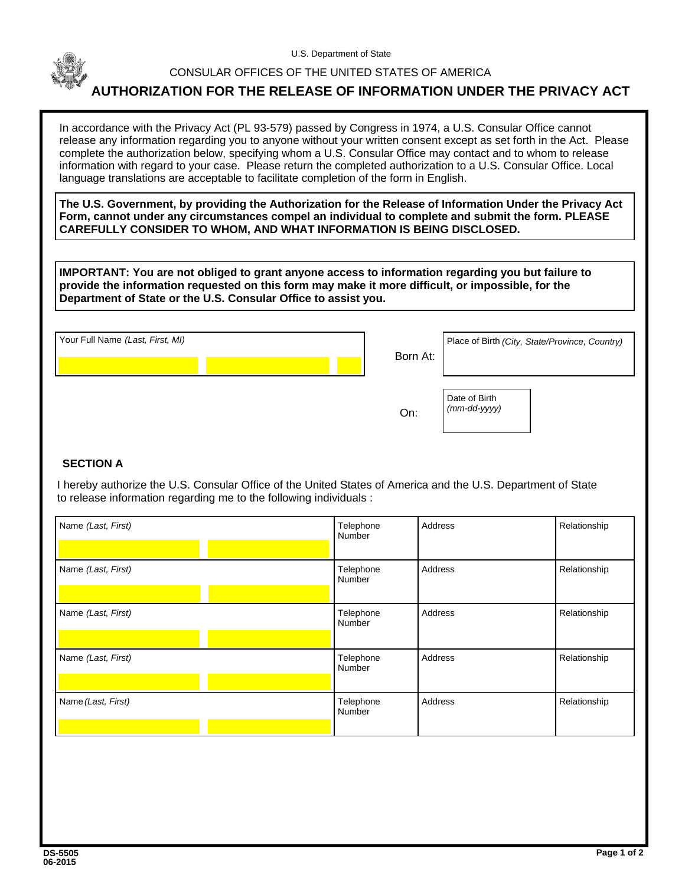

U.S. Department of State

## CONSULAR OFFICES OF THE UNITED STATES OF AMERICA

## **AUTHORIZATION FOR THE RELEASE OF INFORMATION UNDER THE PRIVACY ACT**

In accordance with the Privacy Act (PL 93-579) passed by Congress in 1974, a U.S. Consular Office cannot release any information regarding you to anyone without your written consent except as set forth in the Act. Please complete the authorization below, specifying whom a U.S. Consular Office may contact and to whom to release information with regard to your case. Please return the completed authorization to a U.S. Consular Office. Local language translations are acceptable to facilitate completion of the form in English.

**The U.S. Government, by providing the Authorization for the Release of Information Under the Privacy Act Form, cannot under any circumstances compel an individual to complete and submit the form. PLEASE CAREFULLY CONSIDER TO WHOM, AND WHAT INFORMATION IS BEING DISCLOSED.**

**IMPORTANT: You are not obliged to grant anyone access to information regarding you but failure to provide the information requested on this form may make it more difficult, or impossible, for the Department of State or the U.S. Consular Office to assist you.**

| Your Full Name (Last, First, MI) |  |  | Place of Birth (City, State/Province, Country) |  |
|----------------------------------|--|--|------------------------------------------------|--|
|                                  |  |  | Born At:                                       |  |

Date of Birth *(mm-dd-yyyy)*

On:

## **SECTION A**

 I hereby authorize the U.S. Consular Office of the United States of America and the U.S. Department of State to release information regarding me to the following individuals :

| Name (Last, First) | Telephone<br>Number | Address | Relationship |
|--------------------|---------------------|---------|--------------|
| Name (Last, First) | Telephone<br>Number | Address | Relationship |
| Name (Last, First) | Telephone<br>Number | Address | Relationship |
| Name (Last, First) | Telephone<br>Number | Address | Relationship |
| Name (Last, First) | Telephone<br>Number | Address | Relationship |